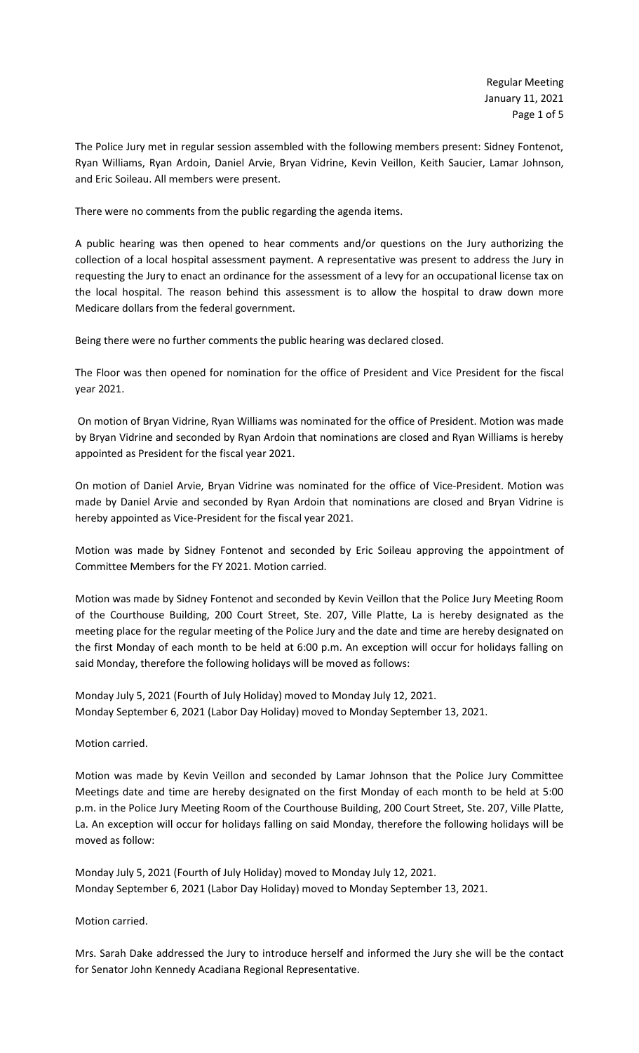The Police Jury met in regular session assembled with the following members present: Sidney Fontenot, Ryan Williams, Ryan Ardoin, Daniel Arvie, Bryan Vidrine, Kevin Veillon, Keith Saucier, Lamar Johnson, and Eric Soileau. All members were present.

There were no comments from the public regarding the agenda items.

A public hearing was then opened to hear comments and/or questions on the Jury authorizing the collection of a local hospital assessment payment. A representative was present to address the Jury in requesting the Jury to enact an ordinance for the assessment of a levy for an occupational license tax on the local hospital. The reason behind this assessment is to allow the hospital to draw down more Medicare dollars from the federal government.

Being there were no further comments the public hearing was declared closed.

The Floor was then opened for nomination for the office of President and Vice President for the fiscal year 2021.

On motion of Bryan Vidrine, Ryan Williams was nominated for the office of President. Motion was made by Bryan Vidrine and seconded by Ryan Ardoin that nominations are closed and Ryan Williams is hereby appointed as President for the fiscal year 2021.

On motion of Daniel Arvie, Bryan Vidrine was nominated for the office of Vice-President. Motion was made by Daniel Arvie and seconded by Ryan Ardoin that nominations are closed and Bryan Vidrine is hereby appointed as Vice-President for the fiscal year 2021.

Motion was made by Sidney Fontenot and seconded by Eric Soileau approving the appointment of Committee Members for the FY 2021. Motion carried.

Motion was made by Sidney Fontenot and seconded by Kevin Veillon that the Police Jury Meeting Room of the Courthouse Building, 200 Court Street, Ste. 207, Ville Platte, La is hereby designated as the meeting place for the regular meeting of the Police Jury and the date and time are hereby designated on the first Monday of each month to be held at 6:00 p.m. An exception will occur for holidays falling on said Monday, therefore the following holidays will be moved as follows:

Monday July 5, 2021 (Fourth of July Holiday) moved to Monday July 12, 2021. Monday September 6, 2021 (Labor Day Holiday) moved to Monday September 13, 2021.

Motion carried.

Motion was made by Kevin Veillon and seconded by Lamar Johnson that the Police Jury Committee Meetings date and time are hereby designated on the first Monday of each month to be held at 5:00 p.m. in the Police Jury Meeting Room of the Courthouse Building, 200 Court Street, Ste. 207, Ville Platte, La. An exception will occur for holidays falling on said Monday, therefore the following holidays will be moved as follow:

Monday July 5, 2021 (Fourth of July Holiday) moved to Monday July 12, 2021. Monday September 6, 2021 (Labor Day Holiday) moved to Monday September 13, 2021.

Motion carried.

Mrs. Sarah Dake addressed the Jury to introduce herself and informed the Jury she will be the contact for Senator John Kennedy Acadiana Regional Representative.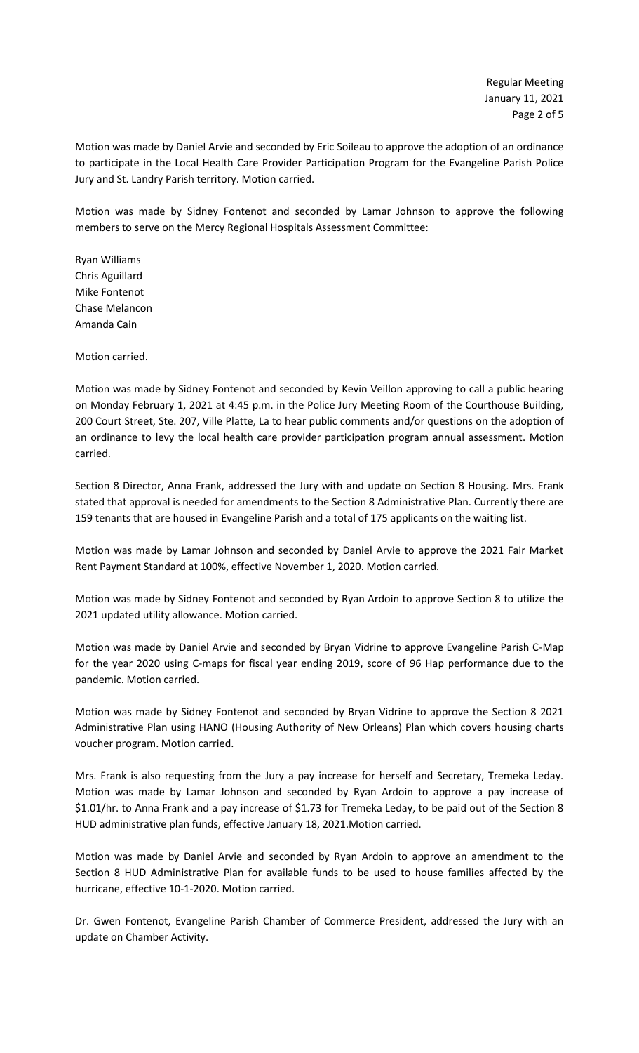Motion was made by Daniel Arvie and seconded by Eric Soileau to approve the adoption of an ordinance to participate in the Local Health Care Provider Participation Program for the Evangeline Parish Police Jury and St. Landry Parish territory. Motion carried.

Motion was made by Sidney Fontenot and seconded by Lamar Johnson to approve the following members to serve on the Mercy Regional Hospitals Assessment Committee:

Ryan Williams Chris Aguillard Mike Fontenot Chase Melancon Amanda Cain

Motion carried.

Motion was made by Sidney Fontenot and seconded by Kevin Veillon approving to call a public hearing on Monday February 1, 2021 at 4:45 p.m. in the Police Jury Meeting Room of the Courthouse Building, 200 Court Street, Ste. 207, Ville Platte, La to hear public comments and/or questions on the adoption of an ordinance to levy the local health care provider participation program annual assessment. Motion carried.

Section 8 Director, Anna Frank, addressed the Jury with and update on Section 8 Housing. Mrs. Frank stated that approval is needed for amendments to the Section 8 Administrative Plan. Currently there are 159 tenants that are housed in Evangeline Parish and a total of 175 applicants on the waiting list.

Motion was made by Lamar Johnson and seconded by Daniel Arvie to approve the 2021 Fair Market Rent Payment Standard at 100%, effective November 1, 2020. Motion carried.

Motion was made by Sidney Fontenot and seconded by Ryan Ardoin to approve Section 8 to utilize the 2021 updated utility allowance. Motion carried.

Motion was made by Daniel Arvie and seconded by Bryan Vidrine to approve Evangeline Parish C-Map for the year 2020 using C-maps for fiscal year ending 2019, score of 96 Hap performance due to the pandemic. Motion carried.

Motion was made by Sidney Fontenot and seconded by Bryan Vidrine to approve the Section 8 2021 Administrative Plan using HANO (Housing Authority of New Orleans) Plan which covers housing charts voucher program. Motion carried.

Mrs. Frank is also requesting from the Jury a pay increase for herself and Secretary, Tremeka Leday. Motion was made by Lamar Johnson and seconded by Ryan Ardoin to approve a pay increase of \$1.01/hr. to Anna Frank and a pay increase of \$1.73 for Tremeka Leday, to be paid out of the Section 8 HUD administrative plan funds, effective January 18, 2021.Motion carried.

Motion was made by Daniel Arvie and seconded by Ryan Ardoin to approve an amendment to the Section 8 HUD Administrative Plan for available funds to be used to house families affected by the hurricane, effective 10-1-2020. Motion carried.

Dr. Gwen Fontenot, Evangeline Parish Chamber of Commerce President, addressed the Jury with an update on Chamber Activity.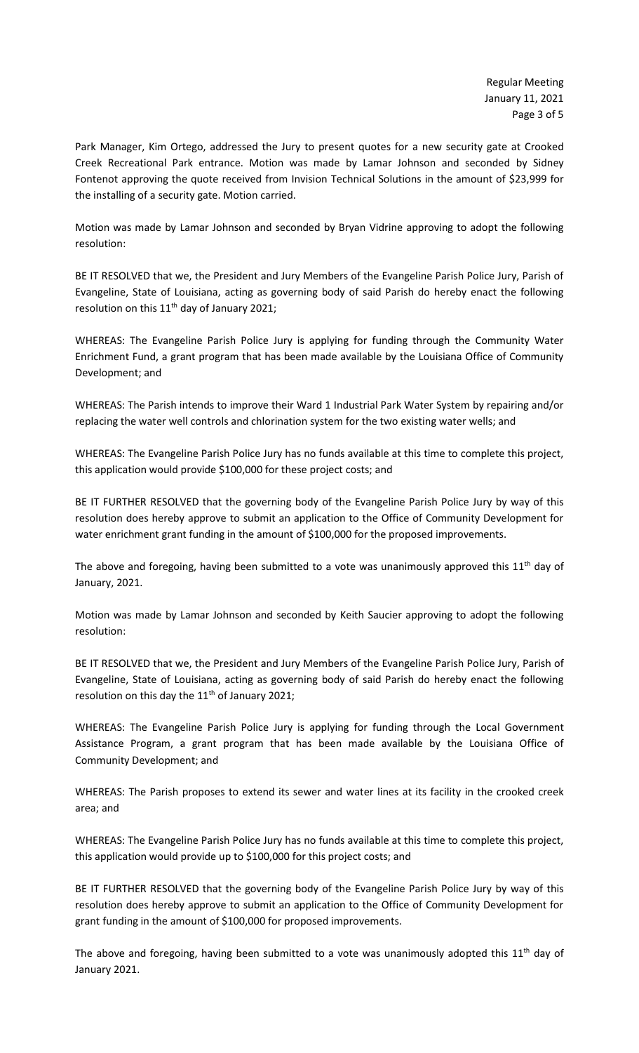Park Manager, Kim Ortego, addressed the Jury to present quotes for a new security gate at Crooked Creek Recreational Park entrance. Motion was made by Lamar Johnson and seconded by Sidney Fontenot approving the quote received from Invision Technical Solutions in the amount of \$23,999 for the installing of a security gate. Motion carried.

Motion was made by Lamar Johnson and seconded by Bryan Vidrine approving to adopt the following resolution:

BE IT RESOLVED that we, the President and Jury Members of the Evangeline Parish Police Jury, Parish of Evangeline, State of Louisiana, acting as governing body of said Parish do hereby enact the following resolution on this  $11<sup>th</sup>$  day of January 2021;

WHEREAS: The Evangeline Parish Police Jury is applying for funding through the Community Water Enrichment Fund, a grant program that has been made available by the Louisiana Office of Community Development; and

WHEREAS: The Parish intends to improve their Ward 1 Industrial Park Water System by repairing and/or replacing the water well controls and chlorination system for the two existing water wells; and

WHEREAS: The Evangeline Parish Police Jury has no funds available at this time to complete this project, this application would provide \$100,000 for these project costs; and

BE IT FURTHER RESOLVED that the governing body of the Evangeline Parish Police Jury by way of this resolution does hereby approve to submit an application to the Office of Community Development for water enrichment grant funding in the amount of \$100,000 for the proposed improvements.

The above and foregoing, having been submitted to a vote was unanimously approved this  $11<sup>th</sup>$  day of January, 2021.

Motion was made by Lamar Johnson and seconded by Keith Saucier approving to adopt the following resolution:

BE IT RESOLVED that we, the President and Jury Members of the Evangeline Parish Police Jury, Parish of Evangeline, State of Louisiana, acting as governing body of said Parish do hereby enact the following resolution on this day the  $11<sup>th</sup>$  of January 2021;

WHEREAS: The Evangeline Parish Police Jury is applying for funding through the Local Government Assistance Program, a grant program that has been made available by the Louisiana Office of Community Development; and

WHEREAS: The Parish proposes to extend its sewer and water lines at its facility in the crooked creek area; and

WHEREAS: The Evangeline Parish Police Jury has no funds available at this time to complete this project, this application would provide up to \$100,000 for this project costs; and

BE IT FURTHER RESOLVED that the governing body of the Evangeline Parish Police Jury by way of this resolution does hereby approve to submit an application to the Office of Community Development for grant funding in the amount of \$100,000 for proposed improvements.

The above and foregoing, having been submitted to a vote was unanimously adopted this  $11<sup>th</sup>$  day of January 2021.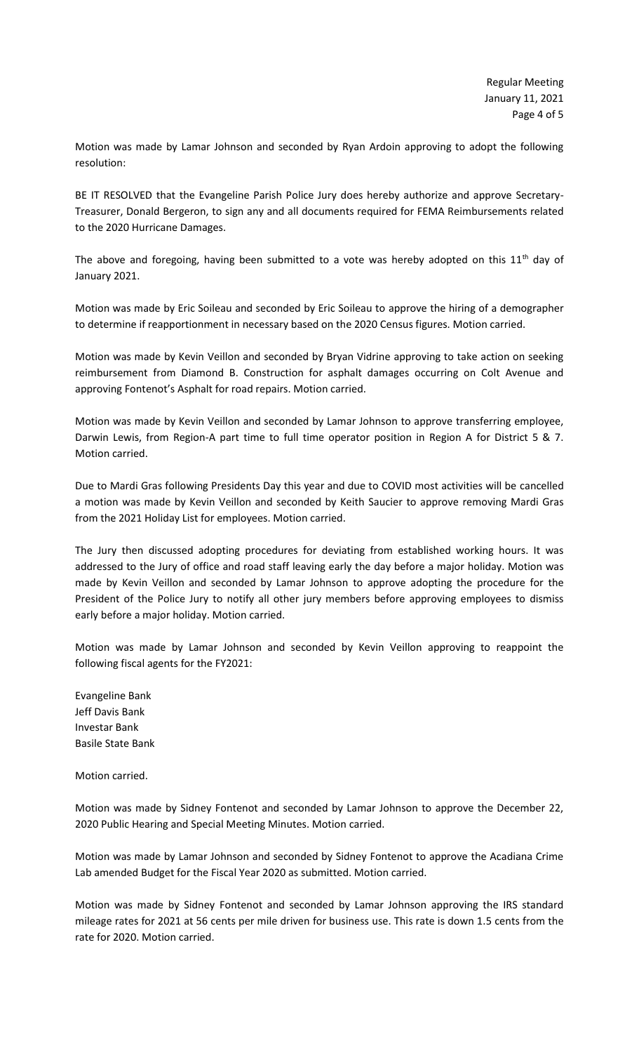Motion was made by Lamar Johnson and seconded by Ryan Ardoin approving to adopt the following resolution:

BE IT RESOLVED that the Evangeline Parish Police Jury does hereby authorize and approve Secretary-Treasurer, Donald Bergeron, to sign any and all documents required for FEMA Reimbursements related to the 2020 Hurricane Damages.

The above and foregoing, having been submitted to a vote was hereby adopted on this  $11<sup>th</sup>$  day of January 2021.

Motion was made by Eric Soileau and seconded by Eric Soileau to approve the hiring of a demographer to determine if reapportionment in necessary based on the 2020 Census figures. Motion carried.

Motion was made by Kevin Veillon and seconded by Bryan Vidrine approving to take action on seeking reimbursement from Diamond B. Construction for asphalt damages occurring on Colt Avenue and approving Fontenot's Asphalt for road repairs. Motion carried.

Motion was made by Kevin Veillon and seconded by Lamar Johnson to approve transferring employee, Darwin Lewis, from Region-A part time to full time operator position in Region A for District 5 & 7. Motion carried.

Due to Mardi Gras following Presidents Day this year and due to COVID most activities will be cancelled a motion was made by Kevin Veillon and seconded by Keith Saucier to approve removing Mardi Gras from the 2021 Holiday List for employees. Motion carried.

The Jury then discussed adopting procedures for deviating from established working hours. It was addressed to the Jury of office and road staff leaving early the day before a major holiday. Motion was made by Kevin Veillon and seconded by Lamar Johnson to approve adopting the procedure for the President of the Police Jury to notify all other jury members before approving employees to dismiss early before a major holiday. Motion carried.

Motion was made by Lamar Johnson and seconded by Kevin Veillon approving to reappoint the following fiscal agents for the FY2021:

Evangeline Bank Jeff Davis Bank Investar Bank Basile State Bank

Motion carried.

Motion was made by Sidney Fontenot and seconded by Lamar Johnson to approve the December 22, 2020 Public Hearing and Special Meeting Minutes. Motion carried.

Motion was made by Lamar Johnson and seconded by Sidney Fontenot to approve the Acadiana Crime Lab amended Budget for the Fiscal Year 2020 as submitted. Motion carried.

Motion was made by Sidney Fontenot and seconded by Lamar Johnson approving the IRS standard mileage rates for 2021 at 56 cents per mile driven for business use. This rate is down 1.5 cents from the rate for 2020. Motion carried.